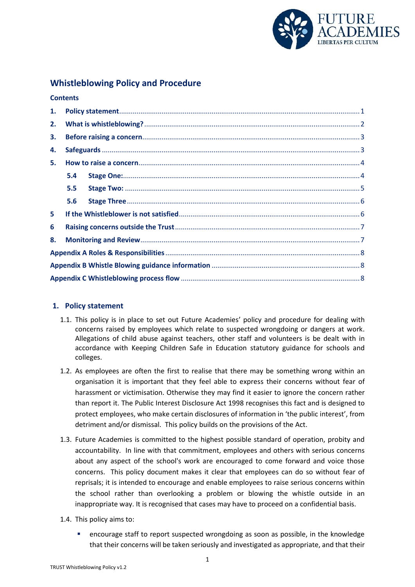

# **Whistleblowing Policy and Procedure**

#### **Contents**

| 1. |     |  |  |  |  |  |
|----|-----|--|--|--|--|--|
| 2. |     |  |  |  |  |  |
| 3. |     |  |  |  |  |  |
| 4. |     |  |  |  |  |  |
| 5. |     |  |  |  |  |  |
|    | 5.4 |  |  |  |  |  |
|    | 5.5 |  |  |  |  |  |
|    | 5.6 |  |  |  |  |  |
| 5. |     |  |  |  |  |  |
| 6  |     |  |  |  |  |  |
| 8. |     |  |  |  |  |  |
|    |     |  |  |  |  |  |
|    |     |  |  |  |  |  |
|    |     |  |  |  |  |  |

# <span id="page-0-0"></span>**1. Policy statement**

- 1.1. This policy is in place to set out Future Academies' policy and procedure for dealing with concerns raised by employees which relate to suspected wrongdoing or dangers at work. Allegations of child abuse against teachers, other staff and volunteers is be dealt with in accordance with Keeping Children Safe in Education statutory guidance for schools and colleges.
- 1.2. As employees are often the first to realise that there may be something wrong within an organisation it is important that they feel able to express their concerns without fear of harassment or victimisation. Otherwise they may find it easier to ignore the concern rather than report it. The Public Interest Disclosure Act 1998 recognises this fact and is designed to protect employees, who make certain disclosures of information in 'the public interest', from detriment and/or dismissal. This policy builds on the provisions of the Act.
- 1.3. Future Academies is committed to the highest possible standard of operation, probity and accountability. In line with that commitment, employees and others with serious concerns about any aspect of the school's work are encouraged to come forward and voice those concerns. This policy document makes it clear that employees can do so without fear of reprisals; it is intended to encourage and enable employees to raise serious concerns within the school rather than overlooking a problem or blowing the whistle outside in an inappropriate way. It is recognised that cases may have to proceed on a confidential basis.
- 1.4. This policy aims to:
	- encourage staff to report suspected wrongdoing as soon as possible, in the knowledge that their concerns will be taken seriously and investigated as appropriate, and that their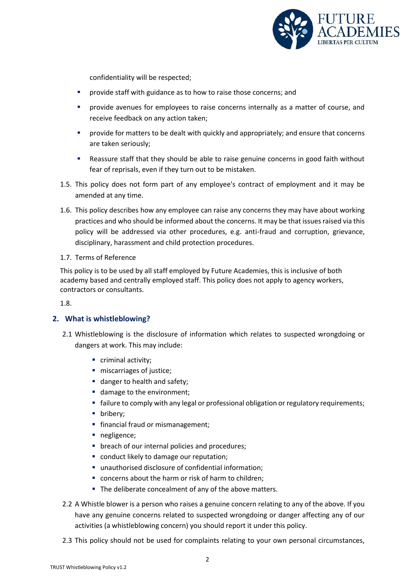

confidentiality will be respected;

- provide staff with guidance as to how to raise those concerns; and
- provide avenues for employees to raise concerns internally as a matter of course, and receive feedback on any action taken;
- provide for matters to be dealt with quickly and appropriately; and ensure that concerns are taken seriously;
- Reassure staff that they should be able to raise genuine concerns in good faith without fear of reprisals, even if they turn out to be mistaken.
- 1.5. This policy does not form part of any employee's contract of employment and it may be amended at any time.
- 1.6. This policy describes how any employee can raise any concerns they may have about working practices and who should be informed about the concerns. It may be that issues raised via this policy will be addressed via other procedures, e.g. anti-fraud and corruption, grievance, disciplinary, harassment and child protection procedures.
- 1.7. Terms of Reference

This policy is to be used by all staff employed by Future Academies, this is inclusive of both academy based and centrally employed staff. This policy does not apply to agency workers, contractors or consultants.

1.8.

# <span id="page-1-0"></span>**2. What is whistleblowing?**

- 2.1 Whistleblowing is the disclosure of information which relates to suspected wrongdoing or dangers at work. This may include:
	- criminal activity:
	- **miscarriages of justice;**
	- danger to health and safety;
	- damage to the environment;
	- failure to comply with any legal or professional obligation or regulatory requirements;
	- **•** bribery;
	- **financial fraud or mismanagement;**
	- negligence;
	- **•** breach of our internal policies and procedures;
	- conduct likely to damage our reputation;
	- unauthorised disclosure of confidential information;
	- concerns about the harm or risk of harm to children;
	- The deliberate concealment of any of the above matters.
- 2.2 A Whistle blower is a person who raises a genuine concern relating to any of the above. If you have any genuine concerns related to suspected wrongdoing or danger affecting any of our activities (a whistleblowing concern) you should report it under this policy.
- 2.3 This policy should not be used for complaints relating to your own personal circumstances,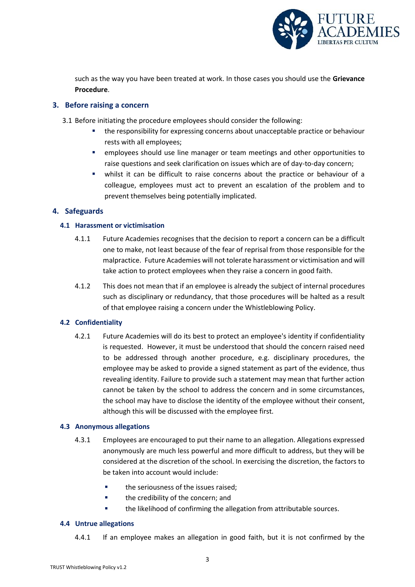

such as the way you have been treated at work. In those cases you should use the **Grievance Procedure**.

# <span id="page-2-0"></span>**3. Before raising a concern**

- 3.1 Before initiating the procedure employees should consider the following:
	- the responsibility for expressing concerns about unacceptable practice or behaviour rests with all employees;
	- employees should use line manager or team meetings and other opportunities to raise questions and seek clarification on issues which are of day-to-day concern;
	- whilst it can be difficult to raise concerns about the practice or behaviour of a colleague, employees must act to prevent an escalation of the problem and to prevent themselves being potentially implicated.

# <span id="page-2-1"></span>**4. Safeguards**

# **4.1 Harassment or victimisation**

- 4.1.1 Future Academies recognises that the decision to report a concern can be a difficult one to make, not least because of the fear of reprisal from those responsible for the malpractice. Future Academies will not tolerate harassment or victimisation and will take action to protect employees when they raise a concern in good faith.
- 4.1.2 This does not mean that if an employee is already the subject of internal procedures such as disciplinary or redundancy, that those procedures will be halted as a result of that employee raising a concern under the Whistleblowing Policy.

# **4.2 Confidentiality**

4.2.1 Future Academies will do its best to protect an employee's identity if confidentiality is requested. However, it must be understood that should the concern raised need to be addressed through another procedure, e.g. disciplinary procedures, the employee may be asked to provide a signed statement as part of the evidence, thus revealing identity. Failure to provide such a statement may mean that further action cannot be taken by the school to address the concern and in some circumstances, the school may have to disclose the identity of the employee without their consent, although this will be discussed with the employee first.

# **4.3 Anonymous allegations**

- 4.3.1 Employees are encouraged to put their name to an allegation. Allegations expressed anonymously are much less powerful and more difficult to address, but they will be considered at the discretion of the school. In exercising the discretion, the factors to be taken into account would include:
	- **the seriousness of the issues raised:**
	- **the credibility of the concern; and**
	- **the likelihood of confirming the allegation from attributable sources.**

# **4.4 Untrue allegations**

4.4.1 If an employee makes an allegation in good faith, but it is not confirmed by the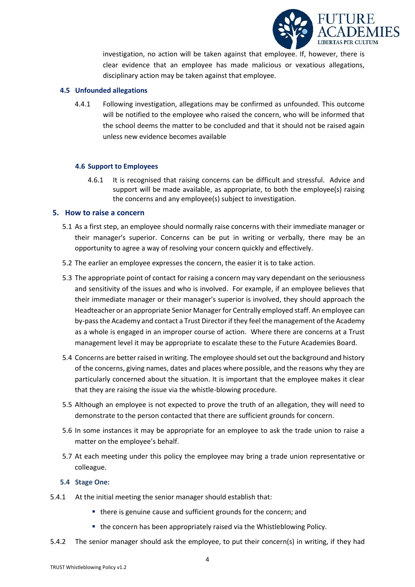

investigation, no action will be taken against that employee. If, however, there is clear evidence that an employee has made malicious or vexatious allegations, disciplinary action may be taken against that employee.

### **4.5 Unfounded allegations**

4.4.1 Following investigation, allegations may be confirmed as unfounded. This outcome will be notified to the employee who raised the concern, who will be informed that the school deems the matter to be concluded and that it should not be raised again unless new evidence becomes available

#### **4.6 Support to Employees**

4.6.1 It is recognised that raising concerns can be difficult and stressful. Advice and support will be made available, as appropriate, to both the employee(s) raising the concerns and any employee(s) subject to investigation.

#### <span id="page-3-0"></span>**5. How to raise a concern**

- 5.1 As a first step, an employee should normally raise concerns with their immediate manager or their manager's superior. Concerns can be put in writing or verbally, there may be an opportunity to agree a way of resolving your concern quickly and effectively.
- 5.2 The earlier an employee expresses the concern, the easier it is to take action.
- 5.3 The appropriate point of contact for raising a concern may vary dependant on the seriousness and sensitivity of the issues and who is involved. For example, if an employee believes that their immediate manager or their manager's superior is involved, they should approach the Headteacher or an appropriate Senior Manager for Centrally employed staff. An employee can by-pass the Academy and contact a Trust Director if they feel the management of the Academy as a whole is engaged in an improper course of action. Where there are concerns at a Trust management level it may be appropriate to escalate these to the Future Academies Board.
- 5.4 Concerns are better raised in writing. The employee should set out the background and history of the concerns, giving names, dates and places where possible, and the reasons why they are particularly concerned about the situation. It is important that the employee makes it clear that they are raising the issue via the whistle-blowing procedure.
- 5.5 Although an employee is not expected to prove the truth of an allegation, they will need to demonstrate to the person contacted that there are sufficient grounds for concern.
- 5.6 In some instances it may be appropriate for an employee to ask the trade union to raise a matter on the employee's behalf.
- 5.7 At each meeting under this policy the employee may bring a trade union representative or colleague.

#### <span id="page-3-1"></span>**5.4 Stage One:**

- 5.4.1 At the initial meeting the senior manager should establish that:
	- there is genuine cause and sufficient grounds for the concern; and
	- the concern has been appropriately raised via the Whistleblowing Policy.
- 5.4.2 The senior manager should ask the employee, to put their concern(s) in writing, if they had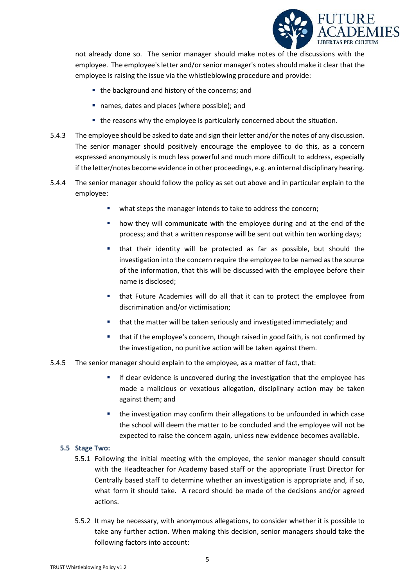

not already done so. The senior manager should make notes of the discussions with the employee. The employee's letter and/or senior manager's notes should make it clear that the employee is raising the issue via the whistleblowing procedure and provide:

- the background and history of the concerns; and
- names, dates and places (where possible); and
- the reasons why the employee is particularly concerned about the situation.
- 5.4.3 The employee should be asked to date and sign their letter and/or the notes of any discussion. The senior manager should positively encourage the employee to do this, as a concern expressed anonymously is much less powerful and much more difficult to address, especially if the letter/notes become evidence in other proceedings, e.g. an internal disciplinary hearing.
- 5.4.4 The senior manager should follow the policy as set out above and in particular explain to the employee:
	- what steps the manager intends to take to address the concern;
	- how they will communicate with the employee during and at the end of the process; and that a written response will be sent out within ten working days;
	- that their identity will be protected as far as possible, but should the investigation into the concern require the employee to be named as the source of the information, that this will be discussed with the employee before their name is disclosed;
	- that Future Academies will do all that it can to protect the employee from discrimination and/or victimisation;
	- **that the matter will be taken seriously and investigated immediately; and**
	- **that if the employee's concern, though raised in good faith, is not confirmed by** the investigation, no punitive action will be taken against them.

# 5.4.5 The senior manager should explain to the employee, as a matter of fact, that:

- **F** if clear evidence is uncovered during the investigation that the employee has made a malicious or vexatious allegation, disciplinary action may be taken against them; and
- the investigation may confirm their allegations to be unfounded in which case the school will deem the matter to be concluded and the employee will not be expected to raise the concern again, unless new evidence becomes available.

# <span id="page-4-0"></span>**5.5 Stage Two:**

- 5.5.1 Following the initial meeting with the employee, the senior manager should consult with the Headteacher for Academy based staff or the appropriate Trust Director for Centrally based staff to determine whether an investigation is appropriate and, if so, what form it should take. A record should be made of the decisions and/or agreed actions.
- 5.5.2 It may be necessary, with anonymous allegations, to consider whether it is possible to take any further action. When making this decision, senior managers should take the following factors into account: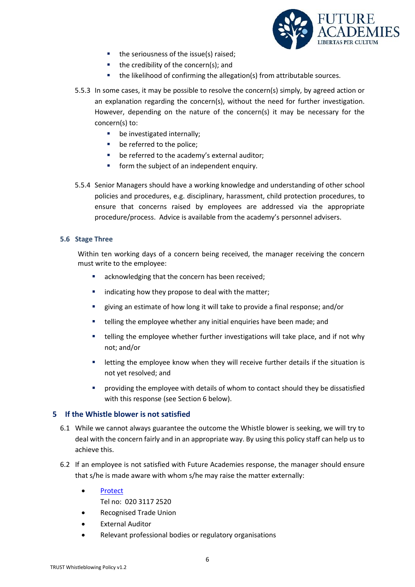

- the seriousness of the issue(s) raised;
- $\blacksquare$  the credibility of the concern(s); and
- **the likelihood of confirming the allegation(s) from attributable sources.**
- 5.5.3 In some cases, it may be possible to resolve the concern(s) simply, by agreed action or an explanation regarding the concern(s), without the need for further investigation. However, depending on the nature of the concern(s) it may be necessary for the concern(s) to:
	- **•** be investigated internally;
	- **be referred to the police;**
	- **•** be referred to the academy's external auditor;
	- **form the subject of an independent enquiry.**
- 5.5.4 Senior Managers should have a working knowledge and understanding of other school policies and procedures, e.g. disciplinary, harassment, child protection procedures, to ensure that concerns raised by employees are addressed via the appropriate procedure/process. Advice is available from the academy's personnel advisers.

#### <span id="page-5-0"></span>**5.6 Stage Three**

Within ten working days of a concern being received, the manager receiving the concern must write to the employee:

- acknowledging that the concern has been received;
- indicating how they propose to deal with the matter;
- giving an estimate of how long it will take to provide a final response; and/or
- telling the employee whether any initial enquiries have been made; and
- telling the employee whether further investigations will take place, and if not why not; and/or
- letting the employee know when they will receive further details if the situation is not yet resolved; and
- providing the employee with details of whom to contact should they be dissatisfied with this response (see Section 6 below).

# <span id="page-5-1"></span>**5 If the Whistle blower is not satisfied**

- 6.1 While we cannot always guarantee the outcome the Whistle blower is seeking, we will try to deal with the concern fairly and in an appropriate way. By using this policy staff can help us to achieve this.
- 6.2 If an employee is not satisfied with Future Academies response, the manager should ensure that s/he is made aware with whom s/he may raise the matter externally:
	- [Protect](https://www.pcaw.org.uk/)
		- Tel no: 020 3117 2520
	- Recognised Trade Union
	- External Auditor
	- Relevant professional bodies or regulatory organisations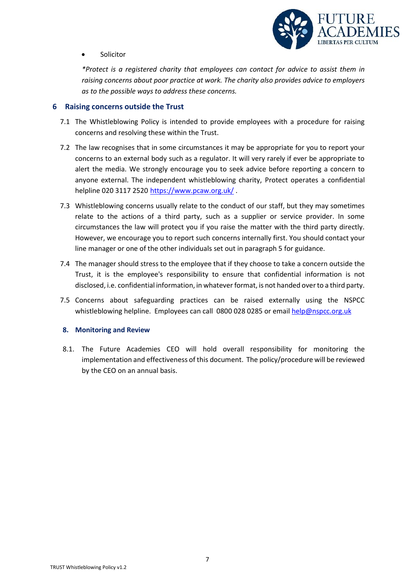

Solicitor

*\*Protect is a registered charity that employees can contact for advice to assist them in raising concerns about poor practice at work. The charity also provides advice to employers as to the possible ways to address these concerns.*

# <span id="page-6-0"></span>**6 Raising concerns outside the Trust**

- 7.1 The Whistleblowing Policy is intended to provide employees with a procedure for raising concerns and resolving these within the Trust.
- 7.2 The law recognises that in some circumstances it may be appropriate for you to report your concerns to an external body such as a regulator. It will very rarely if ever be appropriate to alert the media. We strongly encourage you to seek advice before reporting a concern to anyone external. The independent whistleblowing charity, Protect operates a confidential helpline 020 3117 2520 <https://www.pcaw.org.uk/>.
- 7.3 Whistleblowing concerns usually relate to the conduct of our staff, but they may sometimes relate to the actions of a third party, such as a supplier or service provider. In some circumstances the law will protect you if you raise the matter with the third party directly. However, we encourage you to report such concerns internally first. You should contact your line manager or one of the other individuals set out in paragraph 5 for guidance.
- 7.4 The manager should stress to the employee that if they choose to take a concern outside the Trust, it is the employee's responsibility to ensure that confidential information is not disclosed, i.e. confidential information, in whatever format, is not handed over to a third party.
- 7.5 Concerns about safeguarding practices can be raised externally using the NSPCC whistleblowing helpline. Employees can call 0800 028 0285 or emai[l help@nspcc.org.uk](mailto:help@nspcc.org.uk)

# <span id="page-6-1"></span>**8. Monitoring and Review**

8.1. The Future Academies CEO will hold overall responsibility for monitoring the implementation and effectiveness of this document. The policy/procedure will be reviewed by the CEO on an annual basis.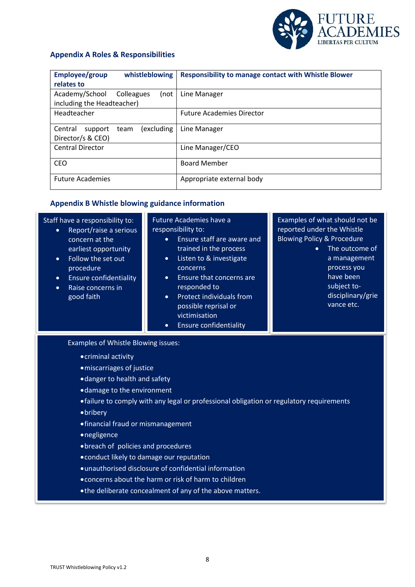

# <span id="page-7-0"></span>**Appendix A Roles & Responsibilities**

| Employee/group<br>whistleblowing         | <b>Responsibility to manage contact with Whistle Blower</b> |  |  |  |
|------------------------------------------|-------------------------------------------------------------|--|--|--|
| relates to                               |                                                             |  |  |  |
| Academy/School<br>Colleagues<br>(not     | Line Manager                                                |  |  |  |
| including the Headteacher)               |                                                             |  |  |  |
| Headteacher                              | <b>Future Academies Director</b>                            |  |  |  |
| (excluding<br>Central<br>support<br>team | Line Manager                                                |  |  |  |
| Director/s & CEO)                        |                                                             |  |  |  |
| <b>Central Director</b>                  | Line Manager/CEO                                            |  |  |  |
| <b>CEO</b>                               | <b>Board Member</b>                                         |  |  |  |
| <b>Future Academies</b>                  | Appropriate external body                                   |  |  |  |

# <span id="page-7-1"></span>**Appendix B Whistle blowing guidance information**

<span id="page-7-2"></span>

| Staff have a responsibility to:<br>Report/raise a serious<br>$\bullet$<br>concern at the<br>earliest opportunity<br>Follow the set out<br>$\bullet$<br>procedure<br><b>Ensure confidentiality</b><br>$\bullet$<br>Raise concerns in<br>$\bullet$<br>good faith                                                                                                                                             | <b>Future Academies have a</b><br>responsibility to:<br>Ensure staff are aware and<br>$\bullet$<br>trained in the process<br>Listen to & investigate<br>$\bullet$<br>concerns<br>Ensure that concerns are<br>$\bullet$<br>responded to<br>Protect individuals from<br>$\bullet$<br>possible reprisal or<br>victimisation<br><b>Ensure confidentiality</b><br>$\bullet$ | Examples of what should not be<br>reported under the Whistle<br><b>Blowing Policy &amp; Procedure</b><br>The outcome of<br>$\bullet$<br>a management<br>process you<br>have been<br>subject to-<br>disciplinary/grie<br>vance etc. |  |  |  |  |  |
|------------------------------------------------------------------------------------------------------------------------------------------------------------------------------------------------------------------------------------------------------------------------------------------------------------------------------------------------------------------------------------------------------------|------------------------------------------------------------------------------------------------------------------------------------------------------------------------------------------------------------------------------------------------------------------------------------------------------------------------------------------------------------------------|------------------------------------------------------------------------------------------------------------------------------------------------------------------------------------------------------------------------------------|--|--|--|--|--|
| Examples of Whistle Blowing issues:<br>• criminal activity<br>· miscarriages of justice<br>• danger to health and safety<br>• damage to the environment<br>• failure to comply with any legal or professional obligation or regulatory requirements<br>• bribery<br>• financial fraud or mismanagement<br>• negligence<br>• breach of policies and procedures<br>• conduct likely to damage our reputation |                                                                                                                                                                                                                                                                                                                                                                        |                                                                                                                                                                                                                                    |  |  |  |  |  |

- unauthorised disclosure of confidential information
- concerns about the harm or risk of harm to children
- the deliberate concealment of any of the above matters.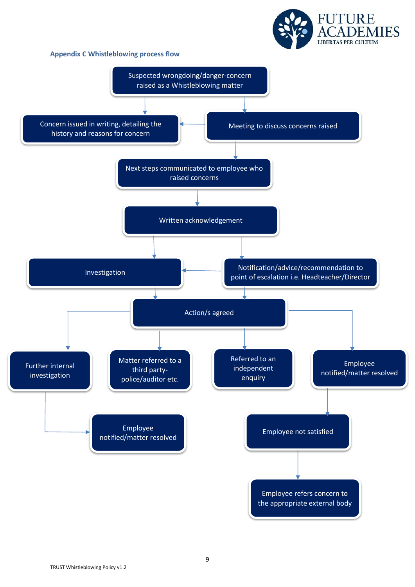# **Appendix C Whistleblowing process flow**